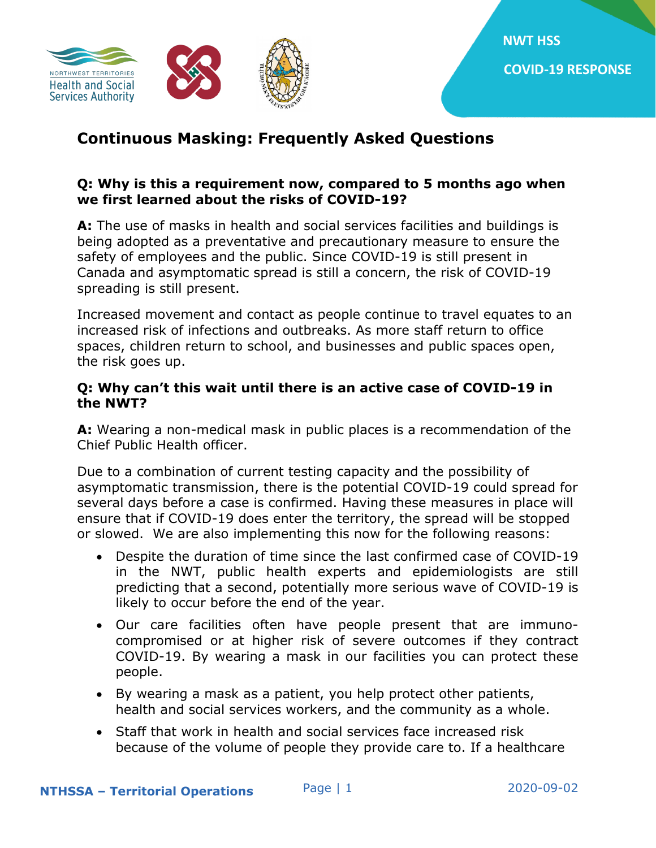

# **Continuous Masking: Frequently Asked Questions**

### **Q: Why is this a requirement now, compared to 5 months ago when we first learned about the risks of COVID-19?**

**A:** The use of masks in health and social services facilities and buildings is being adopted as a preventative and precautionary measure to ensure the safety of employees and the public. Since COVID-19 is still present in Canada and asymptomatic spread is still a concern, the risk of COVID-19 spreading is still present.

Increased movement and contact as people continue to travel equates to an increased risk of infections and outbreaks. As more staff return to office spaces, children return to school, and businesses and public spaces open, the risk goes up.

### **Q: Why can't this wait until there is an active case of COVID-19 in the NWT?**

**A:** Wearing a non-medical mask in public places is a recommendation of the Chief Public Health officer.

Due to a combination of current testing capacity and the possibility of asymptomatic transmission, there is the potential COVID-19 could spread for several days before a case is confirmed. Having these measures in place will ensure that if COVID-19 does enter the territory, the spread will be stopped or slowed. We are also implementing this now for the following reasons:

- Despite the duration of time since the last confirmed case of COVID-19 in the NWT, public health experts and epidemiologists are still predicting that a second, potentially more serious wave of COVID-19 is likely to occur before the end of the year.
- Our care facilities often have people present that are immunocompromised or at higher risk of severe outcomes if they contract COVID-19. By wearing a mask in our facilities you can protect these people.
- By wearing a mask as a patient, you help protect other patients, health and social services workers, and the community as a whole.
- Staff that work in health and social services face increased risk because of the volume of people they provide care to. If a healthcare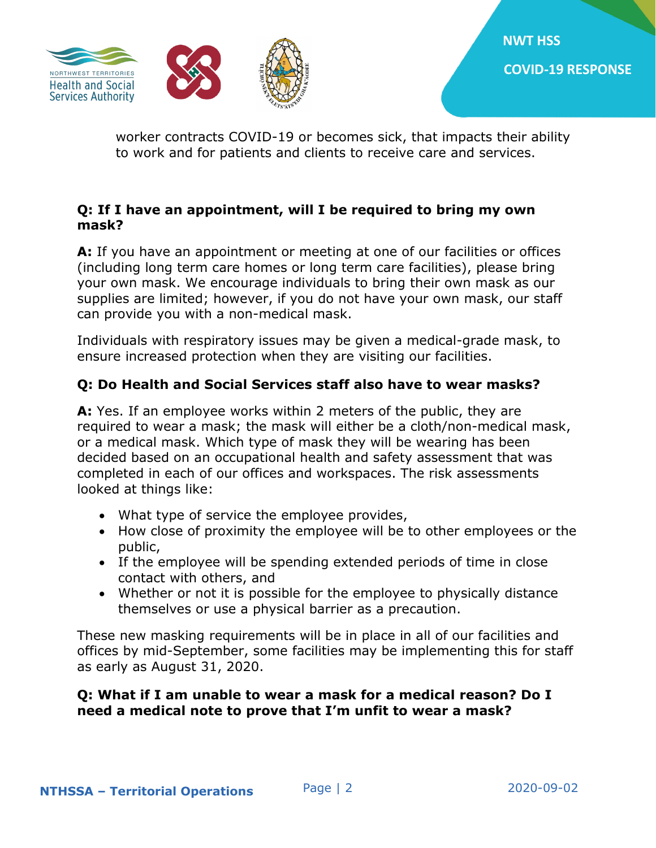

worker contracts COVID-19 or becomes sick, that impacts their ability to work and for patients and clients to receive care and services.

## **Q: If I have an appointment, will I be required to bring my own mask?**

**A:** If you have an appointment or meeting at one of our facilities or offices (including long term care homes or long term care facilities), please bring your own mask. We encourage individuals to bring their own mask as our supplies are limited; however, if you do not have your own mask, our staff can provide you with a non-medical mask.

Individuals with respiratory issues may be given a medical-grade mask, to ensure increased protection when they are visiting our facilities.

# **Q: Do Health and Social Services staff also have to wear masks?**

**A:** Yes. If an employee works within 2 meters of the public, they are required to wear a mask; the mask will either be a cloth/non-medical mask, or a medical mask. Which type of mask they will be wearing has been decided based on an occupational health and safety assessment that was completed in each of our offices and workspaces. The risk assessments looked at things like:

- What type of service the employee provides,
- How close of proximity the employee will be to other employees or the public,
- If the employee will be spending extended periods of time in close contact with others, and
- Whether or not it is possible for the employee to physically distance themselves or use a physical barrier as a precaution.

These new masking requirements will be in place in all of our facilities and offices by mid-September, some facilities may be implementing this for staff as early as August 31, 2020.

## **Q: What if I am unable to wear a mask for a medical reason? Do I need a medical note to prove that I'm unfit to wear a mask?**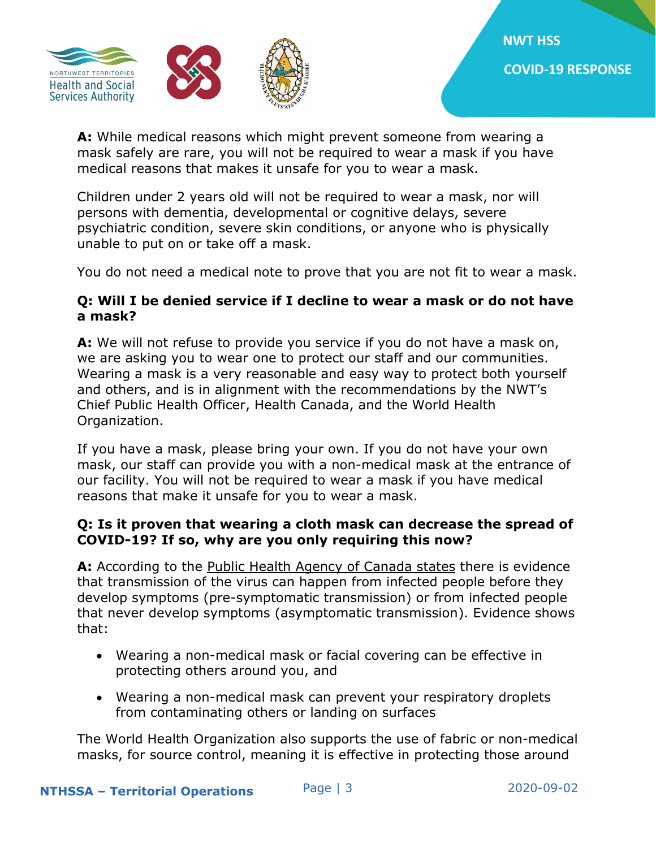

**A:** While medical reasons which might prevent someone from wearing a mask safely are rare, you will not be required to wear a mask if you have medical reasons that makes it unsafe for you to wear a mask.

Children under 2 years old will not be required to wear a mask, nor will persons with dementia, developmental or cognitive delays, severe psychiatric condition, severe skin conditions, or anyone who is physically unable to put on or take off a mask.

You do not need a medical note to prove that you are not fit to wear a mask.

## **Q: Will I be denied service if I decline to wear a mask or do not have a mask?**

**A:** We will not refuse to provide you service if you do not have a mask on, we are asking you to wear one to protect our staff and our communities. Wearing a mask is a very reasonable and easy way to protect both yourself and others, and is in alignment with the recommendations by the NWT's Chief Public Health Officer, Health Canada, and the World Health Organization.

If you have a mask, please bring your own. If you do not have your own mask, our staff can provide you with a non-medical mask at the entrance of our facility. You will not be required to wear a mask if you have medical reasons that make it unsafe for you to wear a mask.

#### **Q: Is it proven that wearing a cloth mask can decrease the spread of COVID-19? If so, why are you only requiring this now?**

**A:** According to the [Public Health Agency of Canada states](https://www.canada.ca/en/public-health/services/diseases/2019-novel-coronavirus-infection/prevention-risks/about-non-medical-masks-face-coverings.html) there is evidence that transmission of the virus can happen from infected people before they develop symptoms (pre-symptomatic transmission) or from infected people that never develop symptoms (asymptomatic transmission). Evidence shows that:

- Wearing a non-medical mask or facial covering can be effective in protecting others around you, and
- Wearing a non-medical mask can prevent your respiratory droplets from contaminating others or landing on surfaces

The World Health Organization also supports the use of fabric or non-medical masks, for source control, meaning it is effective in protecting those around